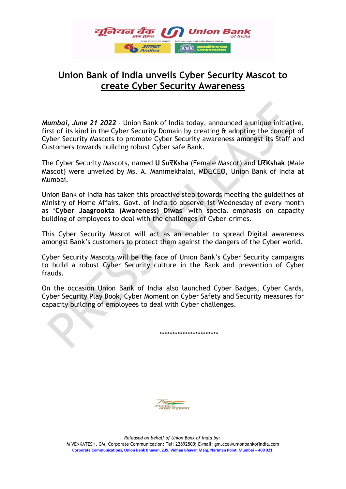

## **Union Bank of India unveils Cyber Security Mascot to create Cyber Security Awareness**

*Mumbai, June 21 2022* - Union Bank of India today, announced a unique initiative, first of its kind in the Cyber Security Domain by creating & adopting the concept of Cyber Security Mascots to promote Cyber Security awareness amongst its Staff and Customers towards building robust Cyber safe Bank.

The Cyber Security Mascots, named **U SuरKsha** (Female Mascot) and **UरKshak** (Male Mascot) were unveiled by Ms. A. Manimekhalai, MD&CEO, Union Bank of India at Mumbai.

Union Bank of India has taken this proactive step towards meeting the guidelines of Ministry of Home Affairs, Govt. of India to observe 1st Wednesday of every month as **'Cyber Jaagrookta (Awareness) Diwas'** with special emphasis on capacity building of employees to deal with the challenges of Cyber-crimes.

This Cyber Security Mascot will act as an enabler to spread Digital awareness amongst Bank's customers to protect them against the dangers of the Cyber world.

Cyber Security Mascots will be the face of Union Bank's Cyber Security campaigns to build a robust Cyber Security culture in the Bank and prevention of Cyber frauds.

On the occasion Union Bank of India also launched Cyber Badges, Cyber Cards, Cyber Security Play Book, Cyber Moment on Cyber Safety and Security measures for capacity building of employees to deal with Cyber challenges.

\*\*\*\*\*\*\*\*\*\*\*\*\*\*\*\*\*\*\*\*\*\*\*



\_\_\_\_\_\_\_\_\_\_\_\_\_\_\_\_\_\_\_\_\_\_\_\_\_\_\_\_\_\_\_\_\_\_\_\_\_\_\_\_\_\_\_\_\_\_\_\_\_\_\_\_\_\_\_\_\_\_\_\_\_\_\_\_\_\_\_ *Released on behalf of Union Bank of India by:-*

M VENKATESH**,** GM, Corporate Communication; Tel: 22892500; E-mail: gm.ccd@unionbankofindia.com **Corporate Communications, Union Bank Bhavan, 239, Vidhan Bhavan Marg, Nariman Point, Mumbai – 400 021.**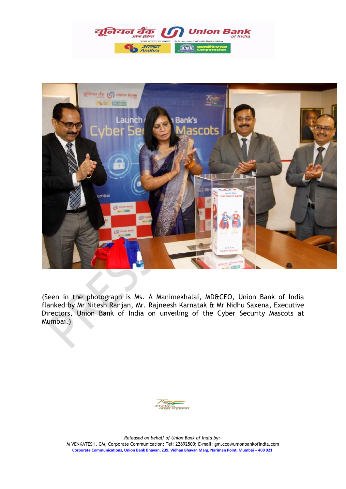



(Seen in the photograph is Ms. A Manimekhalai, MD&CEO, Union Bank of India flanked by Mr Nitesh Ranjan, Mr. Rajneesh Karnatak & Mr Nidhu Saxena, Executive Directors, Union Bank of India on unveiling of the Cyber Security Mascots at Mumbai.)



\_\_\_\_\_\_\_\_\_\_\_\_\_\_\_\_\_\_\_\_\_\_\_\_\_\_\_\_\_\_\_\_\_\_\_\_\_\_\_\_\_\_\_\_\_\_\_\_\_\_\_\_\_\_\_\_\_\_\_\_\_\_\_\_\_\_\_ *Released on behalf of Union Bank of India by:-*

M VENKATESH**,** GM, Corporate Communication; Tel: 22892500; E-mail: gm.ccd@unionbankofindia.com **Corporate Communications, Union Bank Bhavan, 239, Vidhan Bhavan Marg, Nariman Point, Mumbai – 400 021.**